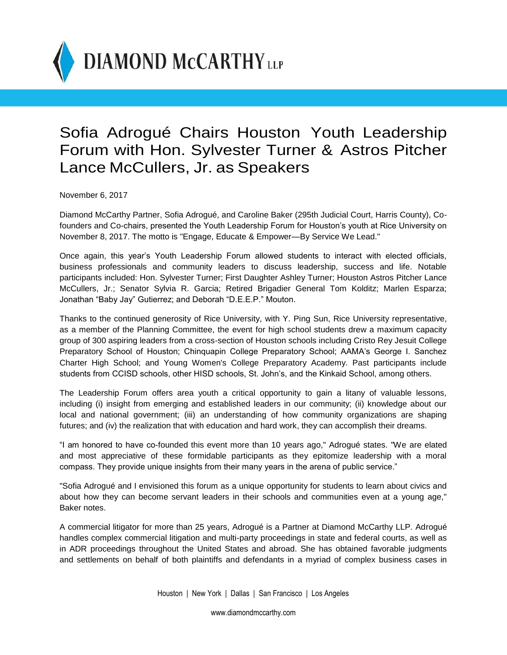

## Sofia Adrogué Chairs Houston Youth Leadership Forum with Hon. Sylvester Turner & Astros Pitcher Lance McCullers, Jr. as Speakers

November 6, 2017

Diamond McCarthy Partner, Sofia Adrogué, and Caroline Baker (295th Judicial Court, Harris County), Cofounders and Co-chairs, presented the Youth Leadership Forum for Houston's youth at Rice University on November 8, 2017. The motto is "Engage, Educate & Empower—By Service We Lead."

Once again, this year's Youth Leadership Forum allowed students to interact with elected officials, business professionals and community leaders to discuss leadership, success and life. Notable participants included: Hon. Sylvester Turner; First Daughter Ashley Turner; Houston Astros Pitcher Lance McCullers, Jr.; Senator Sylvia R. Garcia; Retired Brigadier General Tom Kolditz; Marlen Esparza; Jonathan "Baby Jay" Gutierrez; and Deborah "D.E.E.P." Mouton.

Thanks to the continued generosity of Rice University, with Y. Ping Sun, Rice University representative, as a member of the Planning Committee, the event for high school students drew a maximum capacity group of 300 aspiring leaders from a cross-section of Houston schools including Cristo Rey Jesuit College Preparatory School of Houston; Chinquapin College Preparatory School; AAMA's George I. Sanchez Charter High School; and Young Women's College Preparatory Academy. Past participants include students from CCISD schools, other HISD schools, St. John's, and the Kinkaid School, among others.

The Leadership Forum offers area youth a critical opportunity to gain a litany of valuable lessons, including (i) insight from emerging and established leaders in our community; (ii) knowledge about our local and national government; (iii) an understanding of how community organizations are shaping futures; and (iv) the realization that with education and hard work, they can accomplish their dreams.

"I am honored to have co-founded this event more than 10 years ago," Adrogué states. "We are elated and most appreciative of these formidable participants as they epitomize leadership with a moral compass. They provide unique insights from their many years in the arena of public service."

"Sofia Adrogué and I envisioned this forum as a unique opportunity for students to learn about civics and about how they can become servant leaders in their schools and communities even at a young age," Baker notes.

A commercial litigator for more than 25 years, Adrogué is a Partner at Diamond McCarthy LLP. Adrogué handles complex commercial litigation and multi-party proceedings in state and federal courts, as well as in ADR proceedings throughout the United States and abroad. She has obtained favorable judgments and settlements on behalf of both plaintiffs and defendants in a myriad of complex business cases in